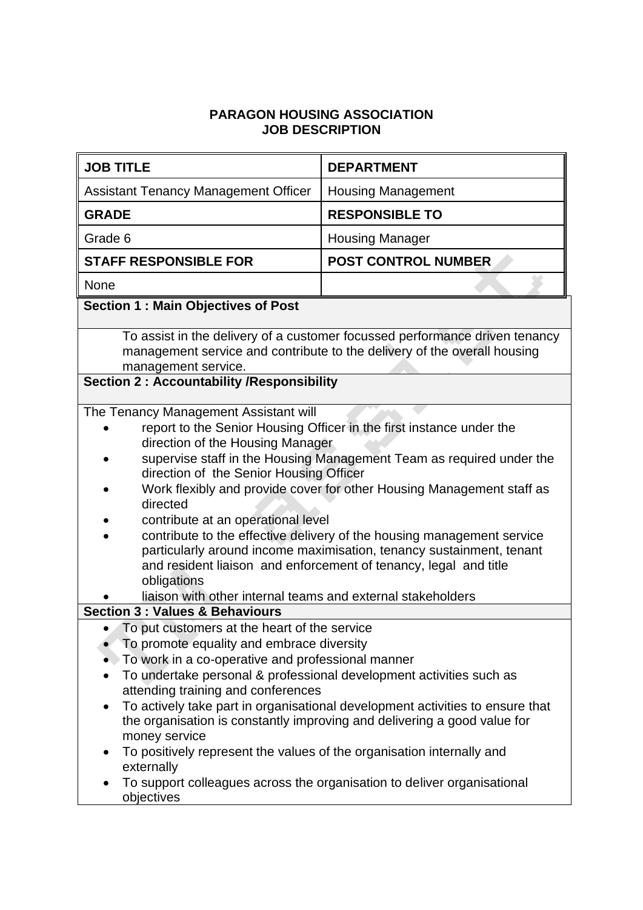## **PARAGON HOUSING ASSOCIATION JOB DESCRIPTION**

| <b>JOB TITLE</b>                                                                                                                                                                                                                                                                                                                                                                                                                                                                                                                                                                                                                                                                                    | <b>DEPARTMENT</b>          |
|-----------------------------------------------------------------------------------------------------------------------------------------------------------------------------------------------------------------------------------------------------------------------------------------------------------------------------------------------------------------------------------------------------------------------------------------------------------------------------------------------------------------------------------------------------------------------------------------------------------------------------------------------------------------------------------------------------|----------------------------|
| <b>Assistant Tenancy Management Officer</b>                                                                                                                                                                                                                                                                                                                                                                                                                                                                                                                                                                                                                                                         | <b>Housing Management</b>  |
| <b>GRADE</b>                                                                                                                                                                                                                                                                                                                                                                                                                                                                                                                                                                                                                                                                                        | <b>RESPONSIBLE TO</b>      |
| Grade 6                                                                                                                                                                                                                                                                                                                                                                                                                                                                                                                                                                                                                                                                                             | <b>Housing Manager</b>     |
| <b>STAFF RESPONSIBLE FOR</b>                                                                                                                                                                                                                                                                                                                                                                                                                                                                                                                                                                                                                                                                        | <b>POST CONTROL NUMBER</b> |
| None                                                                                                                                                                                                                                                                                                                                                                                                                                                                                                                                                                                                                                                                                                |                            |
| <b>Section 1: Main Objectives of Post</b>                                                                                                                                                                                                                                                                                                                                                                                                                                                                                                                                                                                                                                                           |                            |
| To assist in the delivery of a customer focussed performance driven tenancy<br>management service and contribute to the delivery of the overall housing<br>management service.                                                                                                                                                                                                                                                                                                                                                                                                                                                                                                                      |                            |
| <b>Section 2: Accountability /Responsibility</b>                                                                                                                                                                                                                                                                                                                                                                                                                                                                                                                                                                                                                                                    |                            |
| The Tenancy Management Assistant will<br>report to the Senior Housing Officer in the first instance under the<br>direction of the Housing Manager<br>supervise staff in the Housing Management Team as required under the<br>direction of the Senior Housing Officer<br>Work flexibly and provide cover for other Housing Management staff as<br>directed<br>contribute at an operational level<br>contribute to the effective delivery of the housing management service<br>particularly around income maximisation, tenancy sustainment, tenant<br>and resident liaison and enforcement of tenancy, legal and title<br>obligations<br>liaison with other internal teams and external stakeholders |                            |
| <b>Section 3 : Values &amp; Behaviours</b>                                                                                                                                                                                                                                                                                                                                                                                                                                                                                                                                                                                                                                                          |                            |
| To put customers at the heart of the service<br>To promote equality and embrace diversity<br>To work in a co-operative and professional manner<br>To undertake personal & professional development activities such as<br>attending training and conferences<br>To actively take part in organisational development activities to ensure that<br>$\bullet$<br>the organisation is constantly improving and delivering a good value for<br>money service<br>To positively represent the values of the organisation internally and<br>externally<br>To support colleagues across the organisation to deliver organisational<br>objectives                                                              |                            |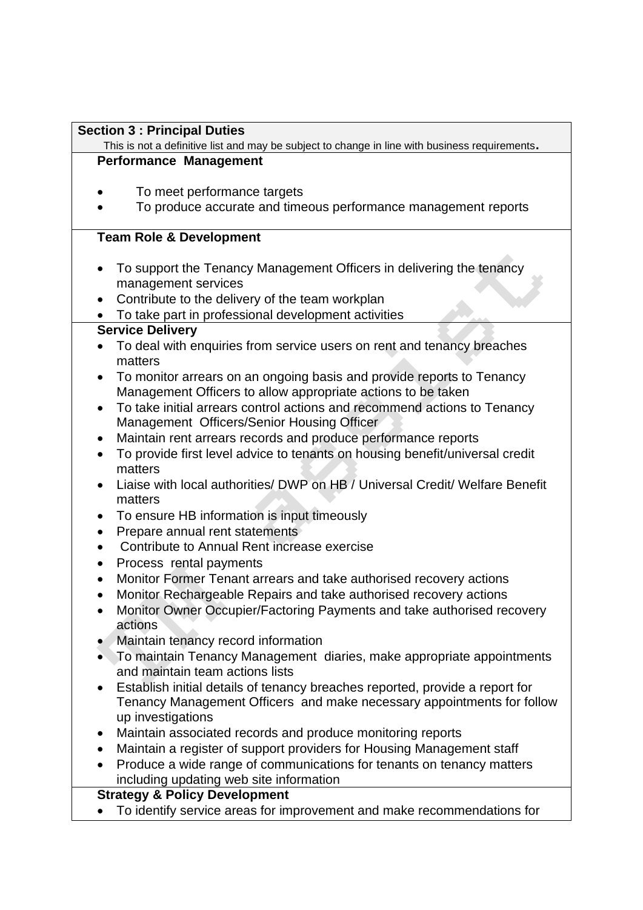## **Section 3 : Principal Duties**

This is not a definitive list and may be subject to change in line with business requirements**. Performance Management** 

- To meet performance targets
- To produce accurate and timeous performance management reports

# **Team Role & Development**

- To support the Tenancy Management Officers in delivering the tenancy management services
- Contribute to the delivery of the team workplan
- To take part in professional development activities

# **Service Delivery**

- To deal with enquiries from service users on rent and tenancy breaches matters
- To monitor arrears on an ongoing basis and provide reports to Tenancy Management Officers to allow appropriate actions to be taken
- To take initial arrears control actions and recommend actions to Tenancy Management Officers/Senior Housing Officer
- Maintain rent arrears records and produce performance reports
- To provide first level advice to tenants on housing benefit/universal credit matters
- Liaise with local authorities/ DWP on HB / Universal Credit/ Welfare Benefit matters
- To ensure HB information is input timeously
- Prepare annual rent statements
- Contribute to Annual Rent increase exercise
- Process rental payments
- Monitor Former Tenant arrears and take authorised recovery actions
- Monitor Rechargeable Repairs and take authorised recovery actions
- Monitor Owner Occupier/Factoring Payments and take authorised recovery actions
- Maintain tenancy record information
- To maintain Tenancy Management diaries, make appropriate appointments and maintain team actions lists
- Establish initial details of tenancy breaches reported, provide a report for Tenancy Management Officers and make necessary appointments for follow up investigations
- Maintain associated records and produce monitoring reports
- Maintain a register of support providers for Housing Management staff
- Produce a wide range of communications for tenants on tenancy matters including updating web site information

## **Strategy & Policy Development**

• To identify service areas for improvement and make recommendations for